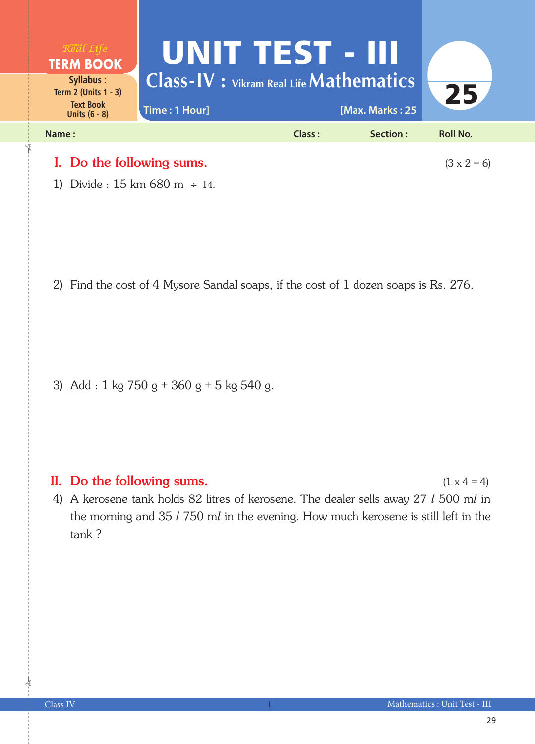

1) Divide :  $15 \text{ km } 680 \text{ m } \div 14$ .

2) Find the cost of 4 Mysore Sandal soaps, if the cost of 1 dozen soaps is Rs. 276.

3) Add : 1 kg  $750 g + 360 g + 5$  kg  $540 g$ .

## II. Do the following sums.  $(1 \times 4 = 4)$

4) A kerosene tank holds 82 litres of kerosene. The dealer sells away 27 *l* 500 m*l* in the morning and 35 *l* 750 m*l* in the evening. How much kerosene is still left in the tank ?

 $\frac{1}{2}$ 

✁